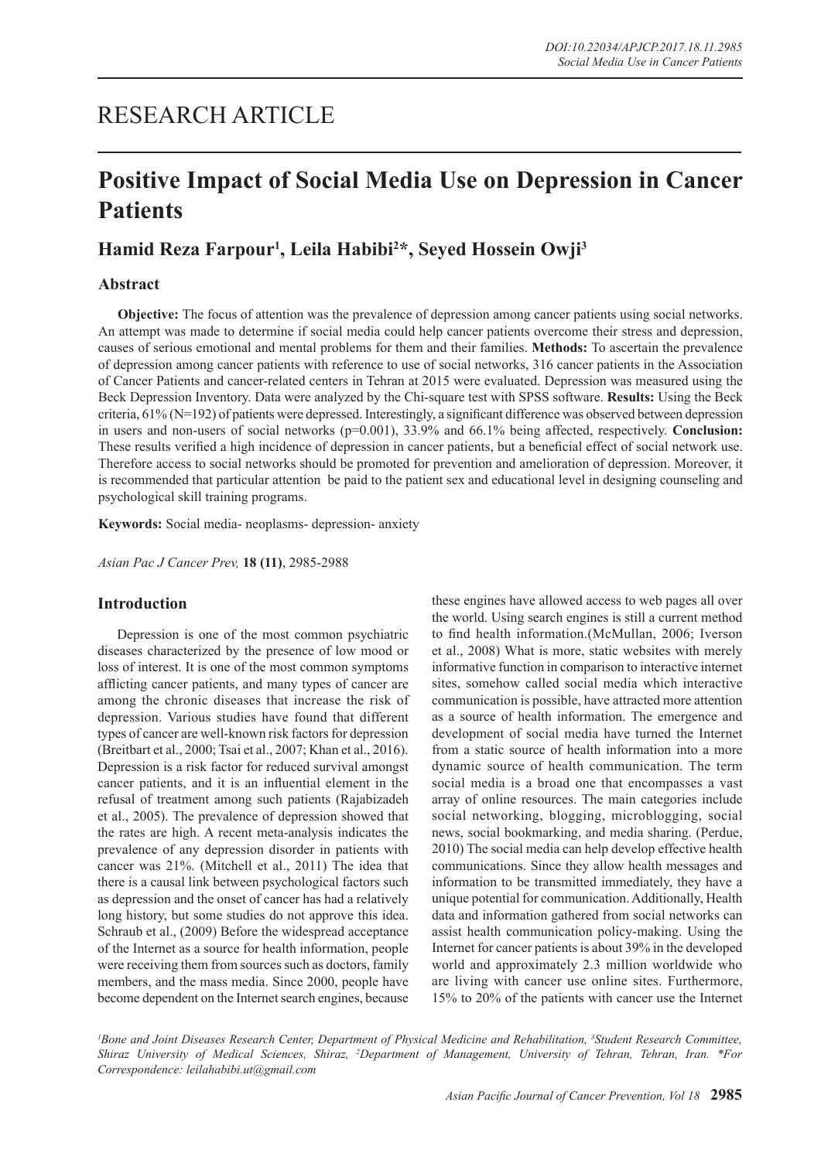# RESEARCH ARTICLE

# **Positive Impact of Social Media Use on Depression in Cancer Patients**

# **Hamid Reza Farpour1 , Leila Habibi2 \*, Seyed Hossein Owji3**

# **Abstract**

**Objective:** The focus of attention was the prevalence of depression among cancer patients using social networks. An attempt was made to determine if social media could help cancer patients overcome their stress and depression, causes of serious emotional and mental problems for them and their families. **Methods:** To ascertain the prevalence of depression among cancer patients with reference to use of social networks, 316 cancer patients in the Association of Cancer Patients and cancer-related centers in Tehran at 2015 were evaluated. Depression was measured using the Beck Depression Inventory. Data were analyzed by the Chi-square test with SPSS software. **Results:** Using the Beck criteria, 61% (N=192) of patients were depressed. Interestingly, a significant difference was observed between depression in users and non-users of social networks ( $p=0.001$ ), 33.9% and 66.1% being affected, respectively. **Conclusion:** These results verified a high incidence of depression in cancer patients, but a beneficial effect of social network use. Therefore access to social networks should be promoted for prevention and amelioration of depression. Moreover, it is recommended that particular attention be paid to the patient sex and educational level in designing counseling and psychological skill training programs.

**Keywords:** Social media- neoplasms- depression- anxiety

*Asian Pac J Cancer Prev,* **18 (11)**, 2985-2988

## **Introduction**

Depression is one of the most common psychiatric diseases characterized by the presence of low mood or loss of interest. It is one of the most common symptoms afflicting cancer patients, and many types of cancer are among the chronic diseases that increase the risk of depression. Various studies have found that different types of cancer are well-known risk factors for depression (Breitbart et al., 2000; Tsai et al., 2007; Khan et al., 2016). Depression is a risk factor for reduced survival amongst cancer patients, and it is an influential element in the refusal of treatment among such patients (Rajabizadeh et al., 2005). The prevalence of depression showed that the rates are high. A recent meta-analysis indicates the prevalence of any depression disorder in patients with cancer was 21%. (Mitchell et al., 2011) The idea that there is a causal link between psychological factors such as depression and the onset of cancer has had a relatively long history, but some studies do not approve this idea. Schraub et al., (2009) Before the widespread acceptance of the Internet as a source for health information, people were receiving them from sources such as doctors, family members, and the mass media. Since 2000, people have become dependent on the Internet search engines, because these engines have allowed access to web pages all over the world. Using search engines is still a current method to find health information.(McMullan, 2006; Iverson et al., 2008) What is more, static websites with merely informative function in comparison to interactive internet sites, somehow called social media which interactive communication is possible, have attracted more attention as a source of health information. The emergence and development of social media have turned the Internet from a static source of health information into a more dynamic source of health communication. The term social media is a broad one that encompasses a vast array of online resources. The main categories include social networking, blogging, microblogging, social news, social bookmarking, and media sharing. (Perdue, 2010) The social media can help develop effective health communications. Since they allow health messages and information to be transmitted immediately, they have a unique potential for communication. Additionally, Health data and information gathered from social networks can assist health communication policy-making. Using the Internet for cancer patients is about 39% in the developed world and approximately 2.3 million worldwide who are living with cancer use online sites. Furthermore, 15% to 20% of the patients with cancer use the Internet

*1 Bone and Joint Diseases Research Center, Department of Physical Medicine and Rehabilitation, 3 Student Research Committee, Shiraz University of Medical Sciences, Shiraz, 2 Department of Management, University of Tehran, Tehran, Iran. \*For Correspondence: leilahabibi.ut@gmail.com*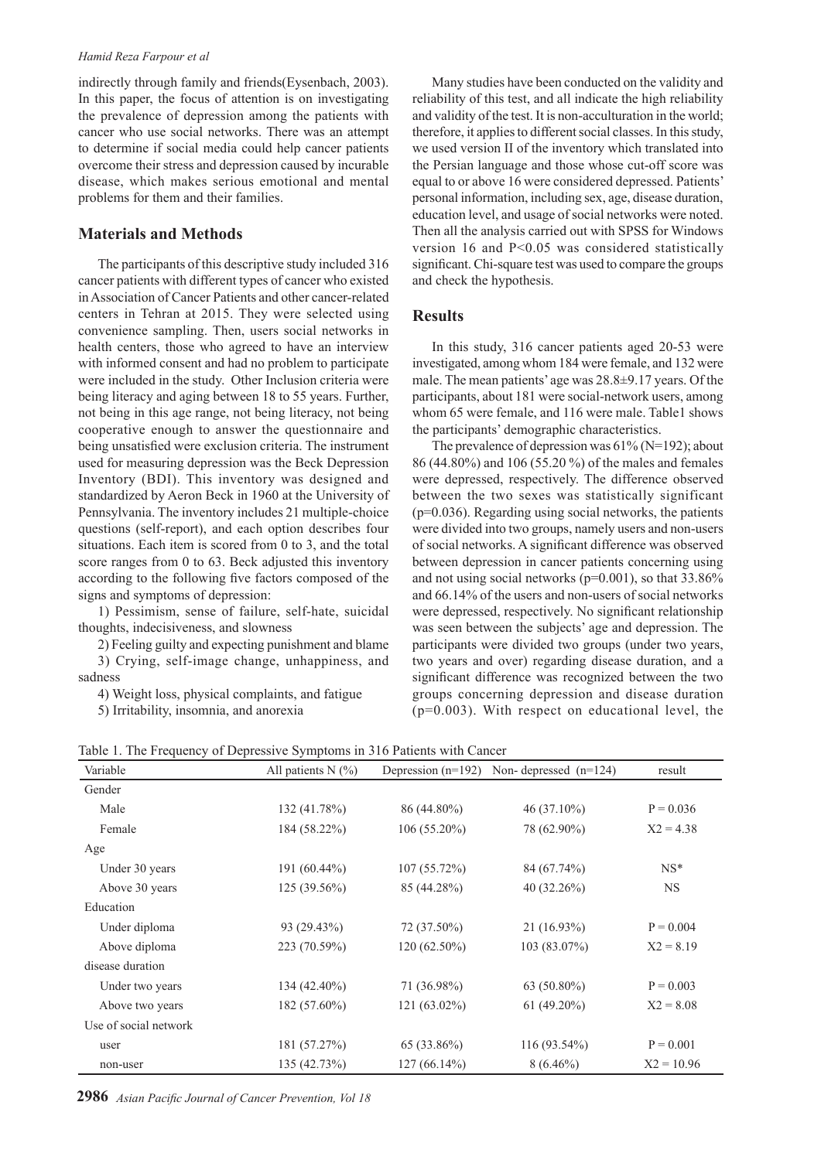#### *Hamid Reza Farpour et al*

indirectly through family and friends(Eysenbach, 2003). In this paper, the focus of attention is on investigating the prevalence of depression among the patients with cancer who use social networks. There was an attempt to determine if social media could help cancer patients overcome their stress and depression caused by incurable disease, which makes serious emotional and mental problems for them and their families.

# **Materials and Methods**

The participants of this descriptive study included 316 cancer patients with different types of cancer who existed in Association of Cancer Patients and other cancer-related centers in Tehran at 2015. They were selected using convenience sampling. Then, users social networks in health centers, those who agreed to have an interview with informed consent and had no problem to participate were included in the study. Other Inclusion criteria were being literacy and aging between 18 to 55 years. Further, not being in this age range, not being literacy, not being cooperative enough to answer the questionnaire and being unsatisfied were exclusion criteria. The instrument used for measuring depression was the Beck Depression Inventory (BDI). This inventory was designed and standardized by Aeron Beck in 1960 at the University of Pennsylvania. The inventory includes 21 multiple-choice questions (self-report), and each option describes four situations. Each item is scored from 0 to 3, and the total score ranges from 0 to 63. Beck adjusted this inventory according to the following five factors composed of the signs and symptoms of depression:

1) Pessimism, sense of failure, self-hate, suicidal thoughts, indecisiveness, and slowness

2) Feeling guilty and expecting punishment and blame 3) Crying, self-image change, unhappiness, and sadness

4) Weight loss, physical complaints, and fatigue

5) Irritability, insomnia, and anorexia

Many studies have been conducted on the validity and reliability of this test, and all indicate the high reliability and validity of the test. It is non-acculturation in the world; therefore, it applies to different social classes. In this study, we used version II of the inventory which translated into the Persian language and those whose cut-off score was equal to or above 16 were considered depressed. Patients' personal information, including sex, age, disease duration, education level, and usage of social networks were noted. Then all the analysis carried out with SPSS for Windows version 16 and P<0.05 was considered statistically significant. Chi-square test was used to compare the groups and check the hypothesis.

## **Results**

In this study, 316 cancer patients aged 20-53 were investigated, among whom 184 were female, and 132 were male. The mean patients' age was 28.8±9.17 years. Of the participants, about 181 were social-network users, among whom 65 were female, and 116 were male. Table1 shows the participants' demographic characteristics.

The prevalence of depression was  $61\%$  (N=192); about 86 (44.80%) and 106 (55.20 %) of the males and females were depressed, respectively. The difference observed between the two sexes was statistically significant  $(p=0.036)$ . Regarding using social networks, the patients were divided into two groups, namely users and non-users of social networks. A significant difference was observed between depression in cancer patients concerning using and not using social networks (p=0.001), so that 33.86% and 66.14% of the users and non-users of social networks were depressed, respectively. No significant relationship was seen between the subjects' age and depression. The participants were divided two groups (under two years, two years and over) regarding disease duration, and a significant difference was recognized between the two groups concerning depression and disease duration  $(p=0.003)$ . With respect on educational level, the

|  | Table 1. The Frequency of Depressive Symptoms in 316 Patients with Cancer |  |  |  |  |  |  |
|--|---------------------------------------------------------------------------|--|--|--|--|--|--|
|--|---------------------------------------------------------------------------|--|--|--|--|--|--|

| Variable              | All patients $N$ (%) | Depression $(n=192)$ | Non-depressed $(n=124)$ | result       |
|-----------------------|----------------------|----------------------|-------------------------|--------------|
| Gender                |                      |                      |                         |              |
| Male                  | 132(41.78%)          | 86 (44.80%)          | $46(37.10\%)$           | $P = 0.036$  |
| Female                | 184 (58.22%)         | $106(55.20\%)$       | 78 (62.90%)             | $X2 = 4.38$  |
| Age                   |                      |                      |                         |              |
| Under 30 years        | $191(60.44\%)$       | 107(55.72%)          | 84 (67.74%)             | $NS^*$       |
| Above 30 years        | $125(39.56\%)$       | 85 (44.28%)          | 40 $(32.26\%)$          | <b>NS</b>    |
| Education             |                      |                      |                         |              |
| Under diploma         | 93 (29.43%)          | 72 (37.50%)          | 21 (16.93%)             | $P = 0.004$  |
| Above diploma         | 223 (70.59%)         | $120(62.50\%)$       | 103 (83.07%)            | $X2 = 8.19$  |
| disease duration      |                      |                      |                         |              |
| Under two years       | $134(42.40\%)$       | 71 (36.98%)          | $63(50.80\%)$           | $P = 0.003$  |
| Above two years       | $182(57.60\%)$       | $121(63.02\%)$       | $61(49.20\%)$           | $X2 = 8.08$  |
| Use of social network |                      |                      |                         |              |
| user                  | 181 (57.27%)         | 65 (33.86%)          | $116(93.54\%)$          | $P = 0.001$  |
| non-user              | 135 (42.73%)         | $127(66.14\%)$       | $8(6.46\%)$             | $X2 = 10.96$ |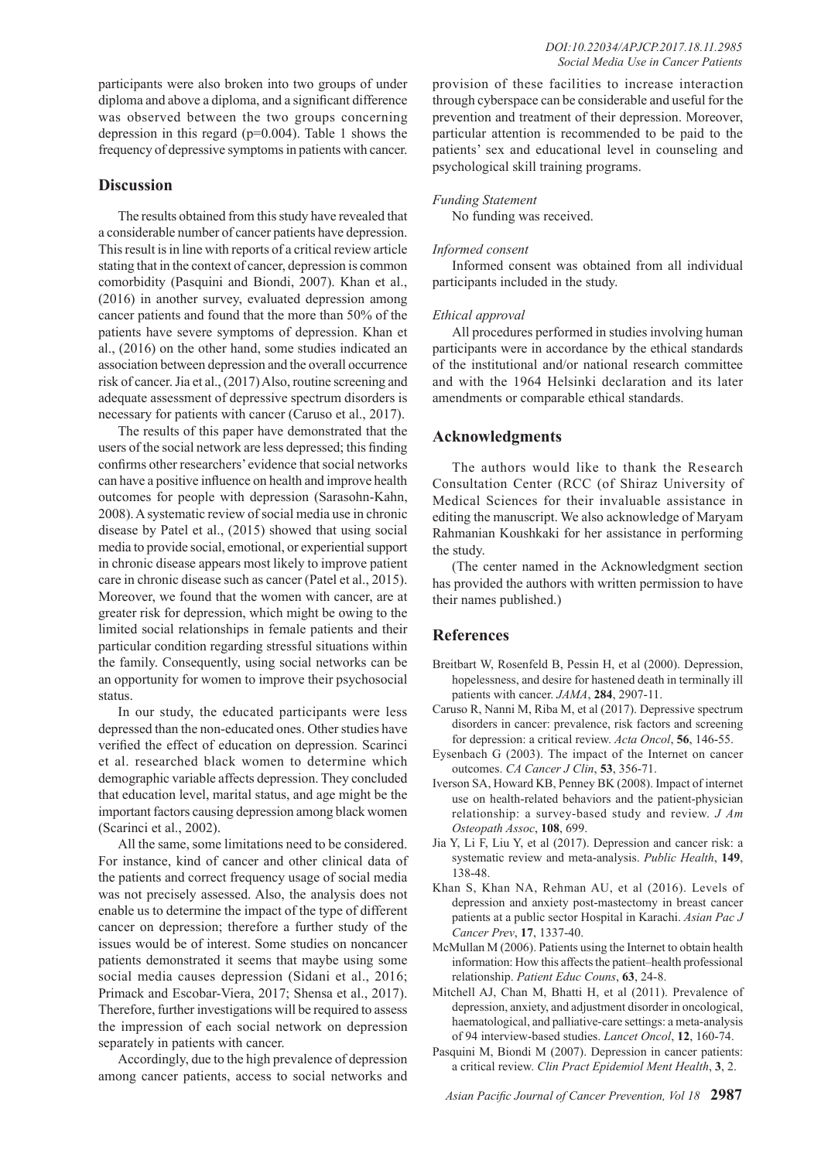participants were also broken into two groups of under diploma and above a diploma, and a significant difference was observed between the two groups concerning depression in this regard (p=0.004). Table 1 shows the frequency of depressive symptoms in patients with cancer.

#### **Discussion**

The results obtained from this study have revealed that a considerable number of cancer patients have depression. This result is in line with reports of a critical review article stating that in the context of cancer, depression is common comorbidity (Pasquini and Biondi, 2007). Khan et al., (2016) in another survey, evaluated depression among cancer patients and found that the more than 50% of the patients have severe symptoms of depression. Khan et al., (2016) on the other hand, some studies indicated an association between depression and the overall occurrence risk of cancer. Jia et al., (2017) Also, routine screening and adequate assessment of depressive spectrum disorders is necessary for patients with cancer (Caruso et al., 2017).

The results of this paper have demonstrated that the users of the social network are less depressed; this finding confirms other researchers' evidence that social networks can have a positive influence on health and improve health outcomes for people with depression (Sarasohn-Kahn, 2008). A systematic review of social media use in chronic disease by Patel et al., (2015) showed that using social media to provide social, emotional, or experiential support in chronic disease appears most likely to improve patient care in chronic disease such as cancer (Patel et al., 2015). Moreover, we found that the women with cancer, are at greater risk for depression, which might be owing to the limited social relationships in female patients and their particular condition regarding stressful situations within the family. Consequently, using social networks can be an opportunity for women to improve their psychosocial status.

In our study, the educated participants were less depressed than the non-educated ones. Other studies have verified the effect of education on depression. Scarinci et al. researched black women to determine which demographic variable affects depression. They concluded that education level, marital status, and age might be the important factors causing depression among black women (Scarinci et al., 2002).

All the same, some limitations need to be considered. For instance, kind of cancer and other clinical data of the patients and correct frequency usage of social media was not precisely assessed. Also, the analysis does not enable us to determine the impact of the type of different cancer on depression; therefore a further study of the issues would be of interest. Some studies on noncancer patients demonstrated it seems that maybe using some social media causes depression (Sidani et al., 2016; Primack and Escobar-Viera, 2017; Shensa et al., 2017). Therefore, further investigations will be required to assess the impression of each social network on depression separately in patients with cancer.

Accordingly, due to the high prevalence of depression among cancer patients, access to social networks and provision of these facilities to increase interaction through cyberspace can be considerable and useful for the prevention and treatment of their depression. Moreover, particular attention is recommended to be paid to the patients' sex and educational level in counseling and psychological skill training programs.

#### *Funding Statement*

No funding was received.

#### *Informed consent*

Informed consent was obtained from all individual participants included in the study.

#### *Ethical approval*

All procedures performed in studies involving human participants were in accordance by the ethical standards of the institutional and/or national research committee and with the 1964 Helsinki declaration and its later amendments or comparable ethical standards.

### **Acknowledgments**

The authors would like to thank the Research Consultation Center (RCC (of Shiraz University of Medical Sciences for their invaluable assistance in editing the manuscript. We also acknowledge of Maryam Rahmanian Koushkaki for her assistance in performing the study.

(The center named in the Acknowledgment section has provided the authors with written permission to have their names published.)

### **References**

- Breitbart W, Rosenfeld B, Pessin H, et al (2000). Depression, hopelessness, and desire for hastened death in terminally ill patients with cancer. *JAMA*, **284**, 2907-11.
- Caruso R, Nanni M, Riba M, et al (2017). Depressive spectrum disorders in cancer: prevalence, risk factors and screening for depression: a critical review. *Acta Oncol*, **56**, 146-55.
- Eysenbach G (2003). The impact of the Internet on cancer outcomes. *CA Cancer J Clin*, **53**, 356-71.
- Iverson SA, Howard KB, Penney BK (2008). Impact of internet use on health-related behaviors and the patient-physician relationship: a survey-based study and review. *J Am Osteopath Assoc*, **108**, 699.
- Jia Y, Li F, Liu Y, et al (2017). Depression and cancer risk: a systematic review and meta-analysis. *Public Health*, **149**, 138-48.
- Khan S, Khan NA, Rehman AU, et al (2016). Levels of depression and anxiety post-mastectomy in breast cancer patients at a public sector Hospital in Karachi. *Asian Pac J Cancer Prev*, **17**, 1337-40.
- McMullan M (2006). Patients using the Internet to obtain health information: How this affects the patient–health professional relationship. *Patient Educ Couns*, **63**, 24-8.
- Mitchell AJ, Chan M, Bhatti H, et al (2011). Prevalence of depression, anxiety, and adjustment disorder in oncological, haematological, and palliative-care settings: a meta-analysis of 94 interview-based studies. *Lancet Oncol*, **12**, 160-74.
- Pasquini M, Biondi M (2007). Depression in cancer patients: a critical review. *Clin Pract Epidemiol Ment Health*, **3**, 2.

*Asian Pacific Journal of Cancer Prevention, Vol 18* **2987**